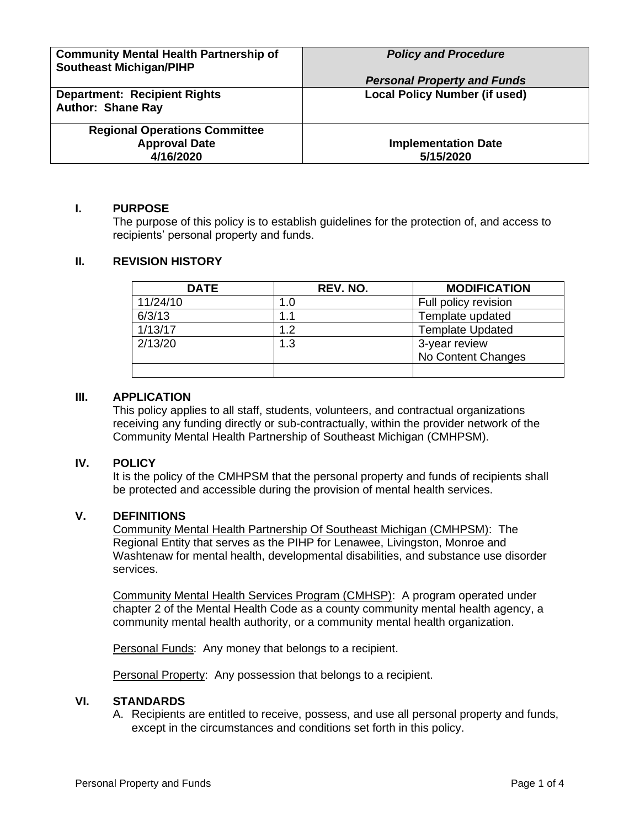| <b>Community Mental Health Partnership of</b> | <b>Policy and Procedure</b>             |
|-----------------------------------------------|-----------------------------------------|
|                                               |                                         |
| <b>Southeast Michigan/PIHP</b>                |                                         |
|                                               | <b>Personal Property and Funds</b>      |
| <b>Department: Recipient Rights</b>           | <b>Local Policy Number (if used)</b>    |
|                                               |                                         |
| <b>Author: Shane Ray</b>                      |                                         |
|                                               |                                         |
| <b>Regional Operations Committee</b>          |                                         |
|                                               |                                         |
|                                               |                                         |
|                                               |                                         |
| <b>Approval Date</b><br>4/16/2020             | <b>Implementation Date</b><br>5/15/2020 |

### **I. PURPOSE**

The purpose of this policy is to establish guidelines for the protection of, and access to recipients' personal property and funds.

### **II. REVISION HISTORY**

| <b>DATE</b> | REV. NO. | <b>MODIFICATION</b>     |
|-------------|----------|-------------------------|
| 11/24/10    | 1.0      | Full policy revision    |
| 6/3/13      | 1.1      | Template updated        |
| 1/13/17     | 1.2      | <b>Template Updated</b> |
| 2/13/20     | 1.3      | 3-year review           |
|             |          | No Content Changes      |
|             |          |                         |

### **III. APPLICATION**

This policy applies to all staff, students, volunteers, and contractual organizations receiving any funding directly or sub-contractually, within the provider network of the Community Mental Health Partnership of Southeast Michigan (CMHPSM).

#### **IV. POLICY**

It is the policy of the CMHPSM that the personal property and funds of recipients shall be protected and accessible during the provision of mental health services.

### **V. DEFINITIONS**

Community Mental Health Partnership Of Southeast Michigan (CMHPSM): The Regional Entity that serves as the PIHP for Lenawee, Livingston, Monroe and Washtenaw for mental health, developmental disabilities, and substance use disorder services.

Community Mental Health Services Program (CMHSP): A program operated under chapter 2 of the Mental Health Code as a county community mental health agency, a community mental health authority, or a community mental health organization.

Personal Funds: Any money that belongs to a recipient.

**Personal Property:** Any possession that belongs to a recipient.

### **VI. STANDARDS**

A. Recipients are entitled to receive, possess, and use all personal property and funds, except in the circumstances and conditions set forth in this policy.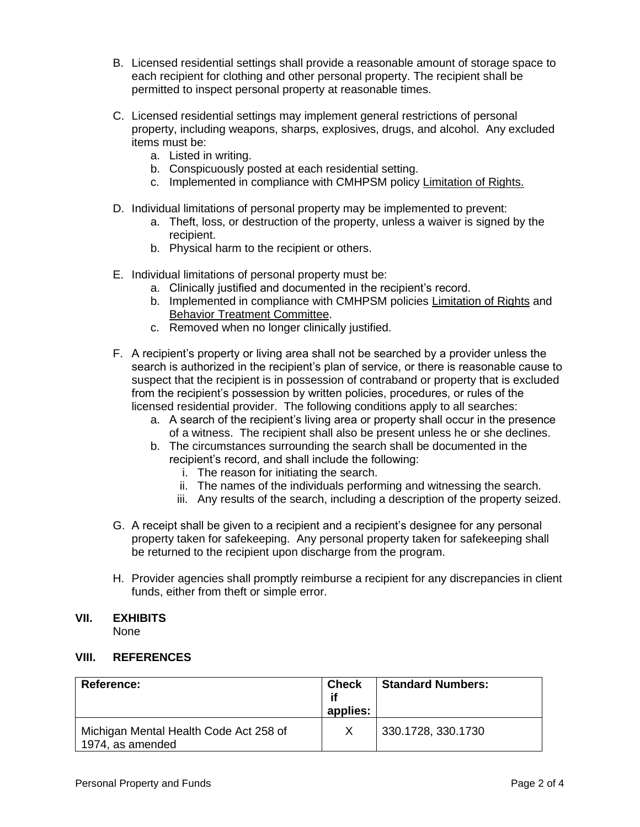- B. Licensed residential settings shall provide a reasonable amount of storage space to each recipient for clothing and other personal property. The recipient shall be permitted to inspect personal property at reasonable times.
- C. Licensed residential settings may implement general restrictions of personal property, including weapons, sharps, explosives, drugs, and alcohol. Any excluded items must be:
	- a. Listed in writing.
	- b. Conspicuously posted at each residential setting.
	- c. Implemented in compliance with CMHPSM policy Limitation of Rights.
- D. Individual limitations of personal property may be implemented to prevent:
	- a. Theft, loss, or destruction of the property, unless a waiver is signed by the recipient.
	- b. Physical harm to the recipient or others.
- E. Individual limitations of personal property must be:
	- a. Clinically justified and documented in the recipient's record.
	- b. Implemented in compliance with CMHPSM policies Limitation of Rights and Behavior Treatment Committee.
	- c. Removed when no longer clinically justified.
- F. A recipient's property or living area shall not be searched by a provider unless the search is authorized in the recipient's plan of service, or there is reasonable cause to suspect that the recipient is in possession of contraband or property that is excluded from the recipient's possession by written policies, procedures, or rules of the licensed residential provider. The following conditions apply to all searches:
	- a. A search of the recipient's living area or property shall occur in the presence of a witness. The recipient shall also be present unless he or she declines.
	- b. The circumstances surrounding the search shall be documented in the recipient's record, and shall include the following:
		- i. The reason for initiating the search.
		- ii. The names of the individuals performing and witnessing the search.
		- iii. Any results of the search, including a description of the property seized.
- G. A receipt shall be given to a recipient and a recipient's designee for any personal property taken for safekeeping. Any personal property taken for safekeeping shall be returned to the recipient upon discharge from the program.
- H. Provider agencies shall promptly reimburse a recipient for any discrepancies in client funds, either from theft or simple error.

### **VII. EXHIBITS**

None

#### **VIII. REFERENCES**

| <b>Reference:</b>                                          | <b>Check</b><br>if<br>applies: | <b>Standard Numbers:</b> |
|------------------------------------------------------------|--------------------------------|--------------------------|
| Michigan Mental Health Code Act 258 of<br>1974, as amended |                                | 330.1728, 330.1730       |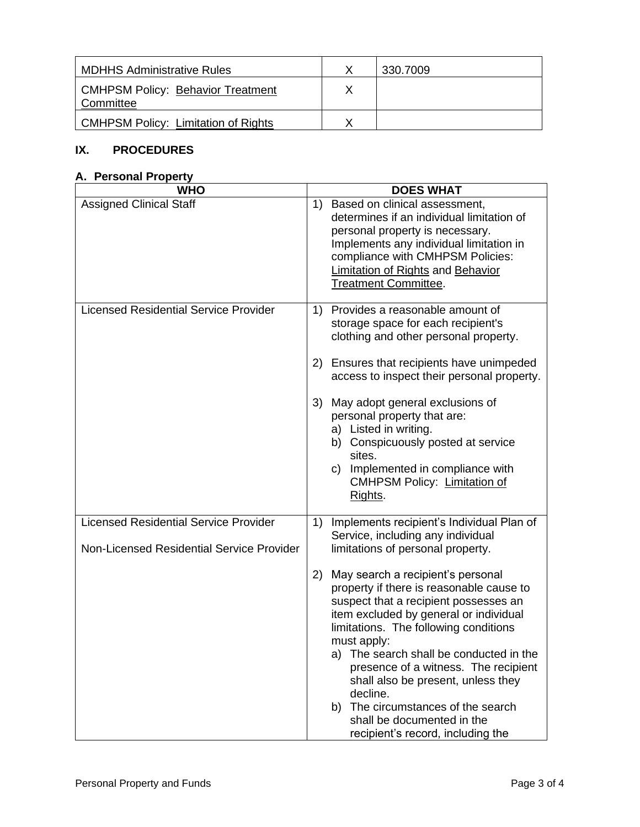| <b>MDHHS Administrative Rules</b>              | 330.7009 |
|------------------------------------------------|----------|
| CMHPSM Policy: Behavior Treatment<br>Committee |          |
| CMHPSM Policy: Limitation of Rights            |          |

# **IX. PROCEDURES**

## **A. Personal Property**

| <b>WHO</b>                                                                                | <b>DOES WHAT</b>                                                                                                                                                                                                                                                                                                                                                                                                                                                             |
|-------------------------------------------------------------------------------------------|------------------------------------------------------------------------------------------------------------------------------------------------------------------------------------------------------------------------------------------------------------------------------------------------------------------------------------------------------------------------------------------------------------------------------------------------------------------------------|
| <b>Assigned Clinical Staff</b>                                                            | Based on clinical assessment,<br>1)<br>determines if an individual limitation of<br>personal property is necessary.<br>Implements any individual limitation in<br>compliance with CMHPSM Policies:<br><b>Limitation of Rights and Behavior</b><br><b>Treatment Committee.</b>                                                                                                                                                                                                |
| <b>Licensed Residential Service Provider</b>                                              | 1) Provides a reasonable amount of<br>storage space for each recipient's<br>clothing and other personal property.                                                                                                                                                                                                                                                                                                                                                            |
|                                                                                           | Ensures that recipients have unimpeded<br>2)<br>access to inspect their personal property.                                                                                                                                                                                                                                                                                                                                                                                   |
|                                                                                           | 3)<br>May adopt general exclusions of<br>personal property that are:<br>a) Listed in writing.<br>b) Conspicuously posted at service<br>sites.<br>Implemented in compliance with<br>C)<br><b>CMHPSM Policy: Limitation of</b><br>Rights.                                                                                                                                                                                                                                      |
| <b>Licensed Residential Service Provider</b><br>Non-Licensed Residential Service Provider | Implements recipient's Individual Plan of<br>1)<br>Service, including any individual<br>limitations of personal property.                                                                                                                                                                                                                                                                                                                                                    |
|                                                                                           | May search a recipient's personal<br>2)<br>property if there is reasonable cause to<br>suspect that a recipient possesses an<br>item excluded by general or individual<br>limitations. The following conditions<br>must apply:<br>a) The search shall be conducted in the<br>presence of a witness. The recipient<br>shall also be present, unless they<br>decline.<br>b) The circumstances of the search<br>shall be documented in the<br>recipient's record, including the |